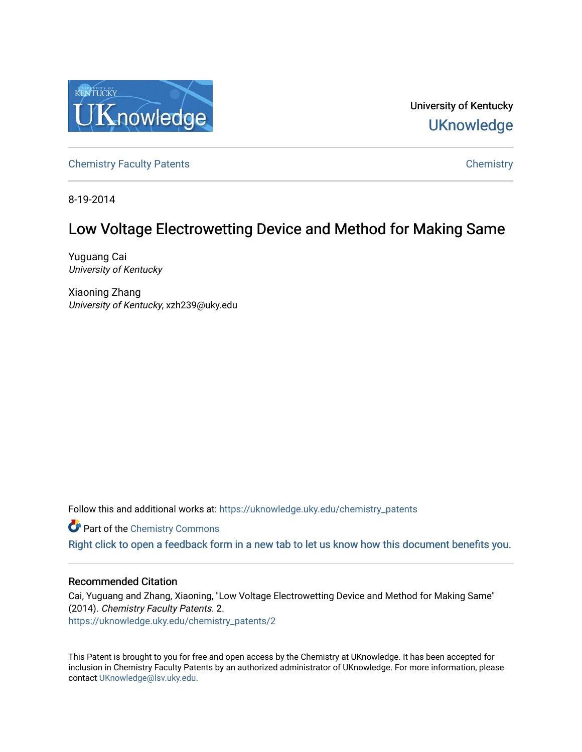

University of Kentucky **UKnowledge** 

[Chemistry Faculty Patents](https://uknowledge.uky.edu/chemistry_patents) **Chemistry** Chemistry

8-19-2014

# Low Voltage Electrowetting Device and Method for Making Same

Yuguang Cai University of Kentucky

Xiaoning Zhang University of Kentucky, xzh239@uky.edu

Follow this and additional works at: [https://uknowledge.uky.edu/chemistry\\_patents](https://uknowledge.uky.edu/chemistry_patents?utm_source=uknowledge.uky.edu%2Fchemistry_patents%2F2&utm_medium=PDF&utm_campaign=PDFCoverPages)

**C** Part of the Chemistry Commons

[Right click to open a feedback form in a new tab to let us know how this document benefits you.](https://uky.az1.qualtrics.com/jfe/form/SV_9mq8fx2GnONRfz7)

### Recommended Citation

Cai, Yuguang and Zhang, Xiaoning, "Low Voltage Electrowetting Device and Method for Making Same" (2014). Chemistry Faculty Patents. 2. [https://uknowledge.uky.edu/chemistry\\_patents/2](https://uknowledge.uky.edu/chemistry_patents/2?utm_source=uknowledge.uky.edu%2Fchemistry_patents%2F2&utm_medium=PDF&utm_campaign=PDFCoverPages)

This Patent is brought to you for free and open access by the Chemistry at UKnowledge. It has been accepted for inclusion in Chemistry Faculty Patents by an authorized administrator of UKnowledge. For more information, please contact [UKnowledge@lsv.uky.edu](mailto:UKnowledge@lsv.uky.edu).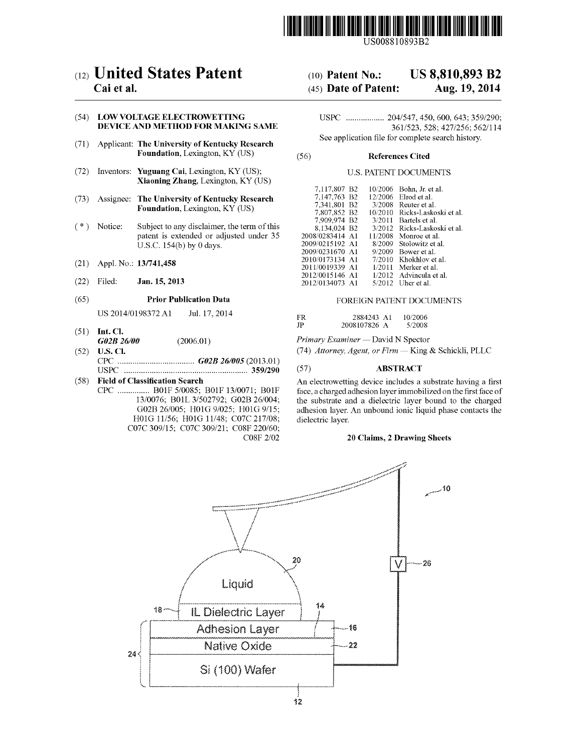

USOO8810893B2

### (54) LOW VOLTAGE ELECTROWETTING USPC ................ .. 204/547, 450, 600, 643; 359/290; DEVICE AND METHOD FOR MAKING SAME

- (71) Applicant: The University of Kentucky Research See application file for complete search history. Foundation, Lexington, KY (US) (56) References Cited
- (72) Inventors: Yuguang Cai, Lexington, KY (US); US PATENT DOCUMENTS Xiaoning Zhang, Lexington, KY (US)
- (73) Assignee: The University of Kentucky Research Foundation, Lexington, KY (US)
- $(*)$  Notice: Subject to any disclaimer, the term of this patent is extended or adjusted under 35 U.S.C. 154(b) by 0 days.
- 
- $(22)$  Filed: **Jan. 15, 2013**

### (65) Prior Publication Data FOREIGN PATENT DOCUMENTS

US 2014/0198372 A1 Jul. 17, 2014 FR 2884243 A1 10/2006

- (51) Int. Cl.<br> $602B\,26/00$
- CPC .................................. .. G023 26/005 (2013.01) USPC ........................................................ .. 359/290 (57) ABSTRACT
- H01G 11/56; H01G 11/48; C07C 217/08; C07C 309/15; C07C 309/21; C08F 220/60;<br>C08F 2/02

# (12) United States Patent (10) Patent No.: US 8,810,893 B2<br>Cai et al. (45) Date of Patent: Aug. 19, 2014

## $(45)$  Date of Patent: Aug. 19, 2014

|                   |         |                                                                                                | 7.117.807 B2             | 10/2006 Bohn. Jr. et al.     |
|-------------------|---------|------------------------------------------------------------------------------------------------|--------------------------|------------------------------|
| (73)              |         | <b>Assignee: The University of Kentucky Research</b><br><b>Foundation</b> , Lexington, KY (US) | 7,147,763 B2             | $12/2006$ Elrod et al.       |
|                   |         |                                                                                                | 7.341.801 B2             | $3/2008$ Reuter et al.       |
|                   |         |                                                                                                | 7.807.852 B2             | 10/2010 Ricks-Laskoski et al |
|                   |         |                                                                                                | 7.909.974 B <sub>2</sub> | $3/2011$ Bartels et al.      |
| $($ $^{\ast}$ $)$ | Notice: | Subject to any disclaimer, the term of this                                                    | 8.134.024 B <sub>2</sub> | 3/2012 Ricks-Laskoski et al  |
|                   |         | patent is extended or adjusted under 35                                                        | 2008/0283414 A1          | $11/2008$ Monroe et al.      |
|                   |         | U.S.C. $154(b)$ by 0 days.                                                                     | 2009/0215192 A1          | 8/2009 Stolowitz et al.      |
|                   |         |                                                                                                | 2009/0231670 A1          | $9/2009$ Bower et al.        |
| (21)              |         | Appl. No.: 13/741,458                                                                          | 2010/0173134 A1          | $7/2010$ Khokhlov et al.     |
|                   |         |                                                                                                | 2011/0019339 A1          | $1/2011$ Merker et al.       |
|                   |         |                                                                                                | 2012/0015146 A1          | $1/2012$ Advincula et al.    |
| (22)              | Filed:  | Jan. 15, 2013                                                                                  | 2012/0134073 A1          | $5/2012$ Uher et al.         |
|                   |         |                                                                                                |                          |                              |

| <b>FR</b> | 2884243 A1   | 10/2006 |
|-----------|--------------|---------|
| .JP       | 2008107826 A | 5/2008  |

(2006.01) Primary Examiner - David N Spector

(52) U.S. Cl.  $(74)$  Attorney, Agent, or Firm  $-$  King & Schickli, PLLC

(58) Field of Classification Search<br>CPC ................ B01F 5/0085; B01F 13/0071; B01F face. a charged adhesion laver immobilized on the first face of CPC ------------------ B01F 5/0085; B01F 13/0071; B01F face, a charged adhesion layer immobilized on the first face of 13/0076; B01L 3/502792; G02B 26/004; the substrate and a dielectric layer bound to the charged 13/0076; B01L 3/502792; G02B 26/004; the substrate and a dielectric layer bound to the charged G02B 26/005; H01G 9/025; H01G 9/15; adhesion layer. An unbound ionic liquid phase contacts the adhesion layer. An unbound ionic liquid phase contacts the dielectric layer.

### 20 Claims, 2 Drawing Sheets

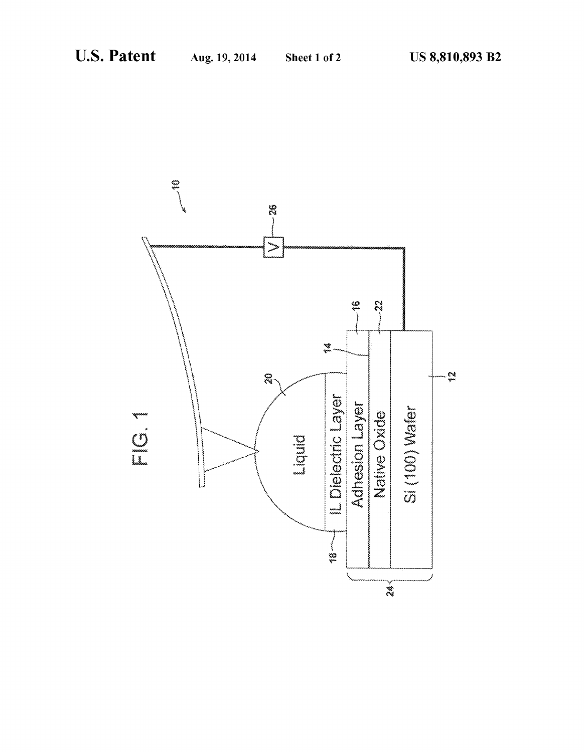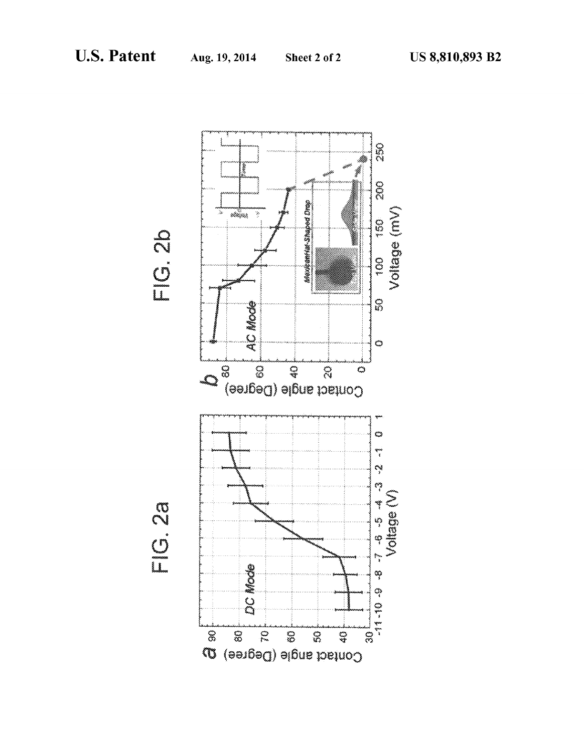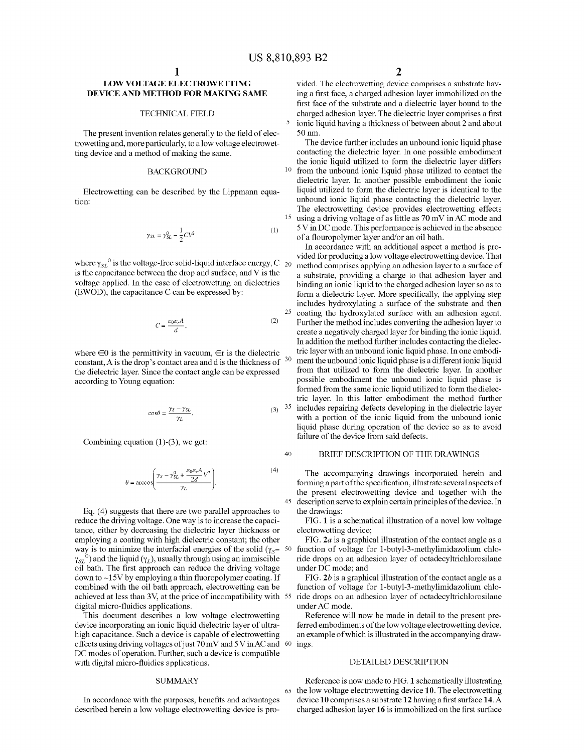5

10

25

40

45

### LOW VOLTAGE ELECTROWETTING DEVICE AND METHOD FOR MAKING SAME

#### TECHNICAL FIELD

The present invention relates generally to the field of electrowetting and, more particularly, to a low voltage electrowet ting device and a method of making the same.

### BACKGROUND

Electrowetting can be described by the Lippmann equa tion:

$$
\gamma_{SL} = \gamma_{SL}^0 - \frac{1}{2}CV^2 \tag{1}
$$

where  $\gamma_{SL}^0$  is the voltage-free solid-liquid interface energy, C  $_{20}$ is the capacitance between the drop and surface, and V is the voltage applied. In the case of electrowetting on dielectrics (EWOD), the capacitance C can be expressed by:

$$
C = \frac{\varepsilon_0 \varepsilon_r A}{d},\tag{2}
$$

where  $\infty$  is the permittivity in vacuum,  $\infty$  is the dielectric constant, A is the drop's contact area and d is the thickness of the dielectric layer. Since the contact angle can be expressed according to Young equation: 30

$$
\cos\theta = \frac{\gamma_S - \gamma_{SL}}{\gamma_L},\tag{3}
$$

Combining equation  $(1)-(3)$ , we get:

$$
\theta = \arccos\left(\frac{\gamma_S - \gamma_{SL}^0 + \frac{\varepsilon_0 \varepsilon_r A}{2d} V^2}{\gamma_L}\right).
$$
\n(4)

Eq. (4) suggests that there are two parallel approaches to reduce the driving voltage. One way is to increase the capaci tance, either by decreasing the dielectric layer thickness or employing a coating with high dielectric constant; the other way is to minimize the interfacial energies of the solid  $(\gamma_s - 50)$  $\gamma_{SL}^{O}$ ) and the liquid ( $\gamma_L$ ), usually through using an immiscible oil bath. The first approach can reduce the driving voltage down to  $\sim$ 15V by employing a thin fluoropolymer coating. If combined with the oil bath approach, electrowetting can be achieved at less than 3V, at the price of incompatibility with 55 digital micro-fluidics applications.

This document describes a low voltage electrowetting device incorporating an ionic liquid dielectric layer of ultra high capacitance. Such a device is capable of electrowetting effects using driving voltages of just  $70 \,\mathrm{mV}$  and  $5 \,\mathrm{V}$  in AC and  $60$ DC modes of operation. Further, such a device is compatible with digital micro-fluidics applications.

### **SUMMARY**

In accordance with the purposes, benefits and advantages described herein a low voltage electrowetting device is pro vided. The electrowetting device comprises a substrate hav ing a first face, a charged adhesion layer immobilized on the first face of the substrate and a dielectric layer bound to the charged adhesion layer. The dielectric layer comprises a first ionic liquid having a thickness of between about 2 and about 50 nm.

The device further includes an unbound ionic liquid phase contacting the dielectric layer. In one possible embodiment the ionic liquid utilized to form the dielectric layer differs from the unbound ionic liquid phase utilized to contact the dielectric layer. In another possible embodiment the ionic liquid utilized to form the dielectric layer is identical to the unbound ionic liquid phase contacting the dielectric layer. The electrowetting device provides electrowetting effects  $15$  using a driving voltage of as little as  $70 \text{ mV}$  in AC mode and 5 V in DC mode. This performance is achieved in the absence of a flouropolymer layer and/or an oil bath.

<sup>35</sup> includes repairing defects developing in the dielectric layer In accordance with an additional aspect a method is pro vided for producing a low voltage electrowetting device. That method comprises applying an adhesion layer to a surface of a substrate, providing a charge to that adhesion layer and binding an ionic liquid to the charged adhesion layer so as to form a dielectric layer. More specifically, the applying step includes hydroxylating a surface of the substrate and then coating the hydroxylated surface with an adhesion agent. Further the method includes converting the adhesion layer to create a negatively charged layer for binding the ionic liquid. In addition the method further includes contacting the dielec tric layer with an unbound ionic liquid phase. In one embodi ment the unbound ionic liquid phase is a different ionic liquid from that utilized to form the dielectric layer. In another possible embodiment the unbound ionic liquid phase is formed from the same ionic liquid utilized to form the dielec tric layer. In this latter embodiment the method further with a portion of the ionic liquid from the unbound ionic liquid phase during operation of the device so as to avoid failure of the device from said defects.

#### BRIEF DESCRIPTION OF THE DRAWINGS

The accompanying drawings incorporated herein and forming a part of the specification, illustrate several aspects of the present electrowetting device and together with the description serve to explain certain principles of the device. In the drawings:

FIG. 1 is a schematical illustration of a novel low voltage electrowetting device;

FIG.  $2a$  is a graphical illustration of the contact angle as a function of voltage for l-butyl-3-methylimidazolium chlo ride drops on an adhesion layer of octadecyltrichlorosilane under DC mode; and

FIG. 2b is a graphical illustration of the contact angle as a function of voltage for l-butyl-3-methylimidazolium chlo ride drops on an adhesion layer of octadecyltrichlorosilane under AC mode.

Reference will now be made in detail to the present pre ferred embodiments of the low voltage electrowetting device, an example of which is illustrated in the accompanying draw ings.

#### DETAILED DESCRIPTION

65 the low voltage electrowetting device 10. The electrowetting Reference is now made to FIG. 1 schematically illustrating device 10 comprises a substrate 12 having a first surface  $14.A$ charged adhesion layer 16 is immobilized on the first surface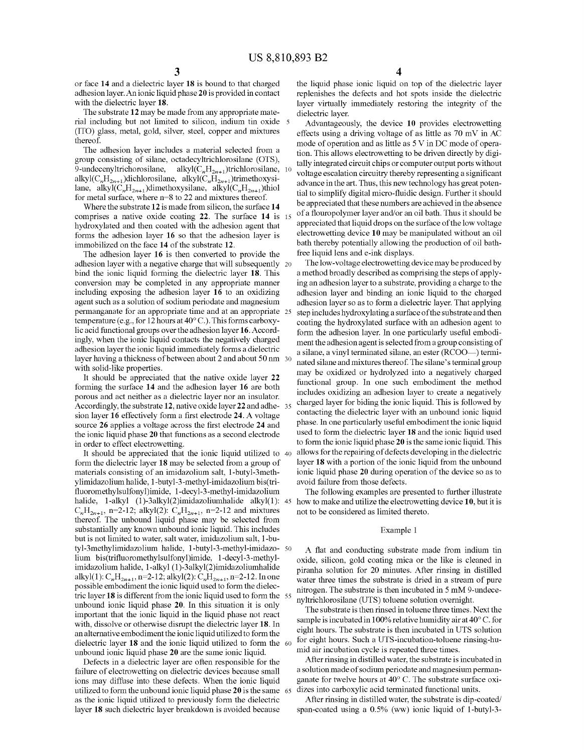$\frac{3}{3}$  or face 14 and a dielectric layer 18 is bound to that charged adhesion layer. An ionic liquid phase 20 is provided in contact with the dielectric layer 18.

The substrate 12 may be made from any appropriate mate rial including but not limited to silicon, indium tin oxide (ITO) glass, metal, gold, silver, steel, copper and mixtures thereof.

The adhesion layer includes a material selected from a group consisting of silane, octadecyltrichlorosilane (OTS), 9-undecenyltrichorosilane, alkyl $(C<sub>n</sub>H<sub>2n+1</sub>)$ trichlorosilane, 10 alkyl $(C_nH_{2n+1})$ dichlorosilane, alkyl $(C_nH_{2n+1})$ trimethoxysilane, alkyl $(C_nH_{2n+1})$ dimethoxysilane, alkyl $(C_nH_{2n+1})$ thiol for metal surface, where  $n=8$  to 22 and mixtures thereof.

Where the substrate 12 is made from silicon, the surface 14 comprises a native oxide coating 22. The surface 14 is 13 hydroxylated and then coated with the adhesion agent that forms the adhesion layer 16 so that the adhesion layer is immobilized on the face 14 of the substrate 12.

The adhesion layer 16 is then converted to provide the adhesion layer with a negative charge that will subsequently 20 bind the ionic liquid forming the dielectric layer 18. This conversion may be completed in any appropriate manner including exposing the adhesion layer 16 to an oxidizing agent such as a solution of sodium periodate and magnesium permanganate for an appropriate time and at an appropriate 25 temperature (e.g., for 12 hours at 40° C.). This forms carboxy lic acid functional groups over the adhesion layer 16. Accord ingly, when the ionic liquid contacts the negatively charged adhesion layer the ionic liquid immediately forms a dielectric layer having a thickness of between about 2 and about 50 nm 30 with solid-like properties.

It should be appreciated that the native oxide layer 22 forming the surface 14 and the adhesion layer 16 are both porous and act neither as a dielectric layer nor an insulator. Accordingly, the substrate 12, native oxide layer 22 and adhe-35 sion layer 16 effectively form a first electrode 24. A voltage source 26 applies a voltage across the first electrode 24 and the ionic liquid phase 20 that functions as a second electrode in order to effect electrowetting.

It should be appreciated that the ionic liquid utilized to 40 form the dielectric layer 18 may be selected from a group of materials consisting of an imidazolium salt, l-butyl-3meth ylimidazolium halide, l-butyl-3 -methyl-imidazolium bis(tri fluoromethylsulfonyl)imide, 1-decyl-3-methyl-imidazolium halide, l-alkyl (l)-3alkyl(2)imidazoliumhalide alkyl(l): 45  $C_nH_{2n+1}$ , n=2-12; alkyl(2):  $C_nH_{2n+1}$ , n=2-12 and mixtures thereof. The unbound liquid phase may be selected from substantially any known unbound ionic liquid. This includes but is not limited to water, salt water, imidazolium salt, l-bu tyl-3methylimidazolium halide, 1-butyl-3-methyl-imidazo- 50 lium bis(trifluoromethylsulfonyl)imide, 1-decyl-3-methylimidazolium halide, 1-alkyl (1)-3alkyl(2)imidazoliumhalide alkyl(1):  $C_nH_{2n+1}$ , n=2-12; alkyl(2):  $C_nH_{2n+1}$ , n=2-12. In one possible embodiment the ionic liquid used to form the dielec tric layer 18 is different from the ionic liquid used to form the 55 unbound ionic liquid phase 20. In this situation it is only important that the ionic liquid in the liquid phase not react with, dissolve or otherwise disrupt the dielectric layer 18. In an alternative embodiment the ionic liquid utilized to form the dielectric layer 18 and the ionic liquid utilized to form the 60 unbound ionic liquid phase 20 are the same ionic liquid.

Defects in a dielectric layer are often responsible for the failure of electrowetting on dielectric devices because small ions may diffuse into these defects. When the ionic liquid utilized to form the unbound ionic liquid phase 20 is the same 65 as the ionic liquid utilized to previously form the dielectric layer 18 such dielectric layer breakdown is avoided because

the liquid phase ionic liquid on top of the dielectric layer replenishes the defects and hot spots inside the dielectric layer virtually immediately restoring the integrity of the dielectric layer.

Advantageously, the device 10 provides electrowetting effects using a driving voltage of as little as 70 mV in AC mode of operation and as little as 5 V in DC mode of opera tion. This allows electrowetting to be driven directly by digi tally integrated circuit chips or computer output ports without voltage escalation circuitry thereby representing a significant advance in the art. Thus, this new technology has great poten tial to simplify digital micro-fluidic design. Further it should be appreciated that these numbers are achieved in the absence of a flouropolymer layer and/or an oil bath. Thus it should be appreciated that liquid drops on the surface of the low voltage electrowetting device 10 may be manipulated without an oil bath thereby potentially allowing the production of oil bath free liquid lens and e-ink displays.

The low-voltage electrowetting device may be produced by a method broadly described as comprising the steps of apply ing an adhesion layer to a substrate, providing a charge to the adhesion layer and binding an ionic liquid to the charged adhesion layer so as to form a dielectric layer. That applying step includes hydroxylating a surface of the substrate and then coating the hydroxylated surface with an adhesion agent to form the adhesion layer. In one particularly useful embodi ment the adhesion agent is selected from a group consisting of a silane, a vinyl terminated silane, an ester (RCOO-) terminated silane and mixtures thereof. The silane's terminal group may be oxidized or hydrolyzed into a negatively charged functional group. In one such embodiment the method includes oxidizing an adhesion layer to create a negatively charged layer for biding the ionic liquid. This is followed by contacting the dielectric layer with an unbound ionic liquid phase. In one particularly useful embodiment the ionic liquid used to form the dielectric layer 18 and the ionic liquid used to form the ionic liquid phase 20 is the same ionic liquid. This allows for the repairing of defects developing in the dielectric layer 18 with a portion of the ionic liquid from the unbound ionic liquid phase 20 during operation of the device so as to avoid failure from those defects.

The following examples are presented to further illustrate how to make and utilize the electrowetting device 10, but it is not to be considered as limited thereto.

#### Example 1

A flat and conducting substrate made from indium tin oxide, silicon, gold coating mica or the like is cleaned in piranha solution for 20 minutes. After rinsing in distilled water three times the substrate is dried in a stream of pure nitrogen. The substrate is then incubated in 5 mM 9-undece nyltrichlorosilane (UTS) toluene solution overnight.

The substrate is then rinsed in toluene three times. Next the sample is incubated in 100% relative humidity air at  $40^{\circ}$  C. for eight hours. The substrate is then incubated in UTS solution for eight hours. Such a UTS-incubation-toluene rinsing-hu mid air incubation cycle is repeated three times.

After rinsing in distilled water, the substrate is incubated in a solution made of sodium periodate and magnesium perman ganate for twelve hours at  $40^{\circ}$  C. The substrate surface oxidizes into carboxylic acid terminated functional units.

After rinsing in distilled water, the substrate is dip-coated/ span-coated using a 0.5% (ww) ionic liquid of 1-butyl-3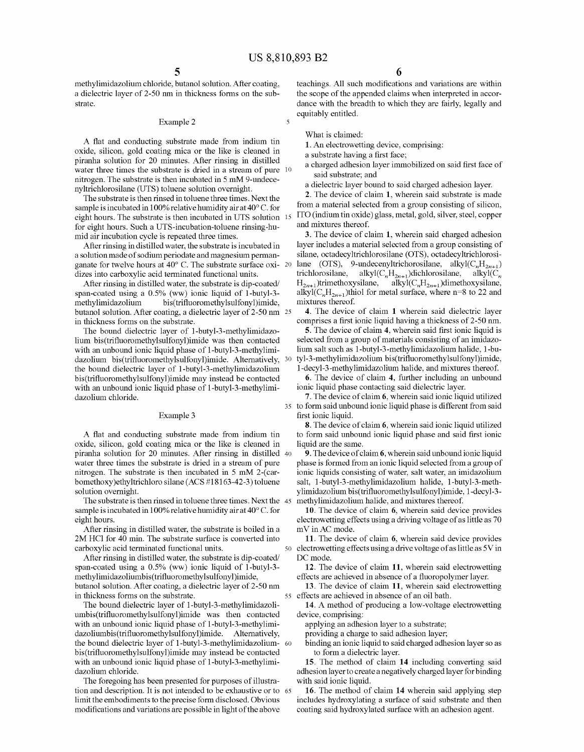$\overline{\mathbf{S}}$ 

50

methylimidazolium chloride, butanol solution. After coating, a dielectric layer of 2-50 nm in thickness forms on the sub strate.

#### Example 2

A flat and conducting substrate made from indium tin oxide, silicon, gold coating mica or the like is cleaned in piranha solution for 20 minutes. After rinsing in distilled water three times the substrate is dried in a stream of pure 10 nitrogen. The substrate is then incubated in 5 mM 9-undece nyltrichlorosilane (UTS) toluene solution overnight.

The substrate is then rinsed in toluene three times. Next the sample is incubated in 100% relative humidity air at 40° C. for eight hours. The substrate is then incubated in UTS solution 15 for eight hours. Such a UTS-incubation-toluene rinsing-hu mid air incubation cycle is repeated three times.

After rinsing in distilled water, the substrate is incubated in a solution made of sodium periodate and magnesium perman ganate for twelve hours at  $40^{\circ}$  C. The substrate surface oxi-  $20$ dizes into carboxylic acid terminated functional units.

After rinsing in distilled water, the substrate is dip-coated/ span-coated using a 0.5% (WW) ionic liquid of 1-butyl-3 methylimidazolium bis(trifluoromethylsulfonyl)imide, butanol solution. After coating, a dielectric layer of 2-50 nm 25 in thickness forms on the substrate.

The bound dielectric layer of 1-butyl-3-methylimidazo lium bis(trifluoromethylsulfonyl)imide was then contacted with an unbound ionic liquid phase of 1-butyl-3-methylimidazolium bis(trifluoromethylsulfonyl)imide. Alternatively, <sup>30</sup> the bound dielectric layer of 1-butyl-3-methy1imidazolium bis(trifluoromethylsulfonyl)imide may instead be contacted with an unbound ionic liquid phase of 1-butyl-3-methylimidazolium chloride.

#### Example 3

A flat and conducting substrate made from indium tin oxide, silicon, gold coating mica or the like is cleaned in piranha solution for 20 minutes. After rinsing in distilled 40 water three times the substrate is dried in a stream of pure nitrogen. The substrate is then incubated in 5 mM 2-(car bomethoxy)ethyltrichloro silane (ACS #18163-42-3) toluene solution overnight.

The substrate is then rinsed in toluene three times. Next the 45 sample is incubated in 100% relative humidity air at  $40^{\circ}$  C. for eight hours.

After rinsing in distilled water, the substrate is boiled in a 2M HCl for 40 min. The substrate surface is converted into carboxylic acid terminated functional units.

After rinsing in distilled water, the substrate is dip-coated/ span-coated using a  $0.5\%$  (ww) ionic liquid of 1-butyl-3methylimidazoliumbis(trifluoromethylsulfonyl)imide, butanol solution. After coating, a dielectric layer of 2-50 nm in thickness forms on the substrate.

The bound dielectric layer of 1-butyl-3-methylimidazoli umbis(trifluoromethylsulfonyl)imide was then contacted with an unbound ionic liquid phase of 1-butyl-3-methylimidazoliumbis(trifluoromethylsulfonyl)imide. Alternatively, the bound dielectric layer of 1-butyl-3-methylimidazolium bis(trifluoromethylsulfonyl)imide may instead be contacted with an unbound ionic liquid phase of 1-butyl-3-methylimidazolium chloride. 60

The foregoing has been presented for purposes of illustra tion and description. It is not intended to be exhaustive or to 65 limit the embodiments to the precise form disclosed. Obvious modifications and variations are possible in light of the above

teachings. All such modifications and variations are within the scope of the appended claims When interpreted in accor dance with the breadth to which they are fairly, legally and equitably entitled.

What is claimed:

1. An electrowetting device, comprising:

- a substrate having a first face;
- a charged adhesion layer immobilized on said first face of said substrate; and

a dielectric layer bound to said charged adhesion layer.

2. The device of claim 1, wherein said substrate is made from a material selected from a group consisting of silicon, ITO (indium tin oxide) glass, metal, gold, silver, steel, copper and mixtures thereof.

3. The device of claim 1, wherein said charged adhesion layer includes a material selected from a group consisting of silane, octadecyltrichlorosilane (OTS), octadecyltrichlorosi lane (OTS), 9-undecenyltrichorosilane, alkyl $(C_nH_{2n+1})$ trichlorosilane, alkyl $(C_nH_{2n+1})$ dichlorosilane, alkyl $(C_n$  $H_{2n+1}$ )trimethoxysilane, alkyl $(C<sub>n</sub>H_{2n+1})$ dimethoxysilane, alkyl $(C<sub>n</sub>H<sub>2n+1</sub>)$ thiol for metal surface, where n=8 to 22 and mixtures thereof.

4. The device of claim 1 wherein said dielectric layer comprises a first ionic liquid having a thickness of 2-50 nm.

5. The device of claim 4, wherein said first ionic liquid is selected from a group of materials consisting of an imidazo lium salt such as 1-butyl-3 -methylimidazolium halide, 1-bu tyl-3-methylimidazolium bis(trifluoromethylsulfonyl)imide, 1-decyl-3-methy1imidazolium halide, and mixtures thereof.

6. The device of claim 4, further including an unbound ionic liquid phase contacting said dielectric layer.

35 to form said unbound ionic liquid phase is different from said 7. The device of claim 6, wherein said ionic liquid utilized first ionic liquid.

8. The device of claim 6, wherein said ionic liquid utilized to form said unbound ionic liquid phase and said first ionic liquid are the same.

9. The device of claim 6, wherein said unbound ionic liquid phase is formed from an ionic liquid selected from a group of ionic liquids consisting of water, salt water, an imidazolium salt, 1-butyl-3-methy1imidazolium halide, 1-butyl-3-meth ylimidazolium bis(trifluoromethylsulfonyl)imide, 1-decyl-3methylimidazolium halide, and mixtures thereof.

10. The device of claim 6, wherein said device provides electrowetting effects using a driving voltage of as little as 70 mV in AC mode.

11. The device of claim 6, wherein said device provides electrowetting effects using a drive voltage of as little as 5V in DC mode.

12. The device of claim 11, wherein said electrowetting effects are achieved in absence of a fluoropolymer layer.

55 effects are achieved in absence of an oil bath. 13. The device of claim 11, wherein said electrowetting

14. A method of producing a low-voltage electrowetting device, comprising:

applying an adhesion layer to a substrate;

providing a charge to said adhesion layer;

binding an ionic liquid to said charged adhesion layer so as to form a dielectric layer.

15. The method of claim 14 including converting said adhesion layer to create a negatively charged layer forbinding With said ionic liquid.

16. The method of claim 14 wherein said applying step includes hydroxylating a surface of said substrate and then coating said hydroxylated surface With an adhesion agent.